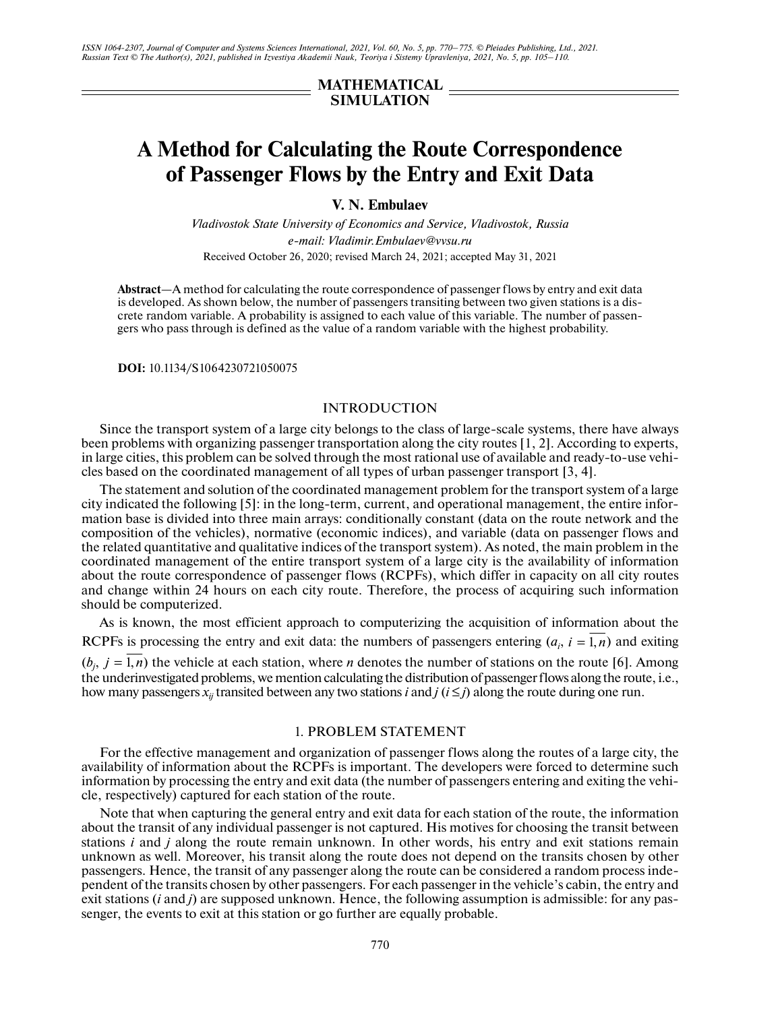*ISSN 1064-2307, Journal of Computer and Systems Sciences International, 2021, Vol. 60, No. 5, pp. 770–775. © Pleiades Publishing, Ltd., 2021. Russian Text © The Author(s), 2021, published in Izvestiya Akademii Nauk, Teoriya i Sistemy Upravleniya, 2021, No. 5, pp. 105–110.*

## **MATHEMATICAL SIMULATION**

# **A Method for Calculating the Route Correspondence of Passenger Flows by the Entry and Exit Data**

**V. N. Embulaev**

*Vladivostok State University of Economics and Service, Vladivostok, Russia e-mail: Vladimir.Embulaev@vvsu.ru* Received October 26, 2020; revised March 24, 2021; accepted May 31, 2021

**Abstract**—A method for calculating the route correspondence of passenger flows by entry and exit data is developed. As shown below, the number of passengers transiting between two given stations is a discrete random variable. A probability is assigned to each value of this variable. The number of passengers who pass through is defined as the value of a random variable with the highest probability.

**DOI:** 10.1134/S1064230721050075

### INTRODUCTION

Since the transport system of a large city belongs to the class of large-scale systems, there have always been problems with organizing passenger transportation along the city routes [1, 2]. According to experts, in large cities, this problem can be solved through the most rational use of available and ready-to-use vehicles based on the coordinated management of all types of urban passenger transport [3, 4].

The statement and solution of the coordinated management problem for the transport system of a large city indicated the following [5]: in the long-term, current, and operational management, the entire information base is divided into three main arrays: conditionally constant (data on the route network and the composition of the vehicles), normative (economic indices), and variable (data on passenger flows and the related quantitative and qualitative indices of the transport system). As noted, the main problem in the coordinated management of the entire transport system of a large city is the availability of information about the route correspondence of passenger flows (RCPFs), which differ in capacity on all city routes and change within 24 hours on each city route. Therefore, the process of acquiring such information should be computerized.

As is known, the most efficient approach to computerizing the acquisition of information about the RCPFs is processing the entry and exit data: the numbers of passengers entering  $(a_i, i = 1, n)$  and exiting  $(b_j, j = 1, n)$  the vehicle at each station, where *n* denotes the number of stations on the route [6]. Among the underinvestigated problems, we mention calculating the distribution of passenger flows along the route, i.e., how many passengers  $x_{ij}$  transited between any two stations *i* and *j* ( $i \le j$ ) along the route during one run.

#### 1. PROBLEM STATEMENT

For the effective management and organization of passenger flows along the routes of a large city, the availability of information about the RCPFs is important. The developers were forced to determine such information by processing the entry and exit data (the number of passengers entering and exiting the vehicle, respectively) captured for each station of the route.

Note that when capturing the general entry and exit data for each station of the route, the information about the transit of any individual passenger is not captured. His motives for choosing the transit between stations *i* and *j* along the route remain unknown. In other words, his entry and exit stations remain unknown as well. Moreover, his transit along the route does not depend on the transits chosen by other passengers. Hence, the transit of any passenger along the route can be considered a random process independent of the transits chosen by other passengers. For each passenger in the vehicle's cabin, the entry and exit stations (*i* and *j*) are supposed unknown. Hence, the following assumption is admissible: for any passenger, the events to exit at this station or go further are equally probable.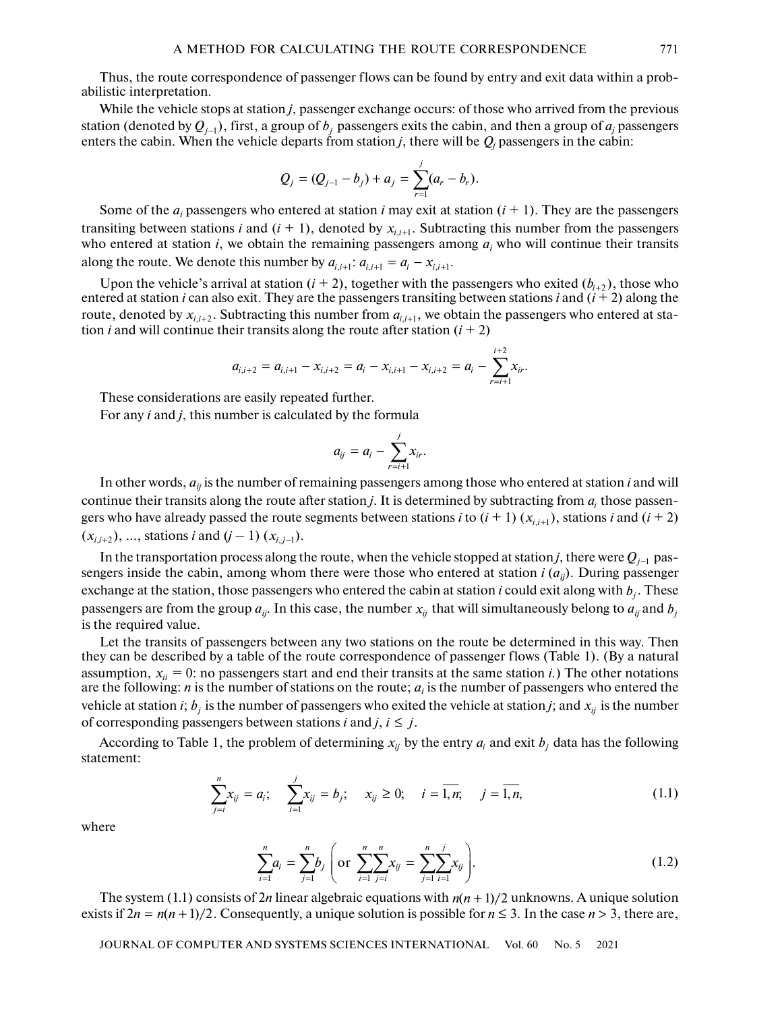Thus, the route correspondence of passenger flows can be found by entry and exit data within a probabilistic interpretation.

While the vehicle stops at station *j*, passenger exchange occurs: of those who arrived from the previous station (denoted by  $Q_{j-1}$ ), first, a group of  $b_j$  passengers exits the cabin, and then a group of  $a_j$  passengers enters the cabin. When the vehicle departs from station  $j$ , there will be  $Q_j$  passengers in the cabin:

$$
Q_j = (Q_{j-1} - b_j) + a_j = \sum_{r=1}^j (a_r - b_r).
$$

Some of the  $a_i$  passengers who entered at station *i* may exit at station  $(i + 1)$ . They are the passengers transiting between stations *i* and  $(i + 1)$ , denoted by  $x_{i,i+1}$ . Subtracting this number from the passengers who entered at station  $i$ , we obtain the remaining passengers among  $a_i$  who will continue their transits along the route. We denote this number by  $a_{i,i+1}$ :  $a_{i,i+1} = a_i - x_{i,i+1}$ .

Upon the vehicle's arrival at station  $(i + 2)$ , together with the passengers who exited  $(b_{i+2})$ , those who entered at station *i* can also exit. They are the passengers transiting between stations *i* and  $(i + 2)$  along the route, denoted by  $x_{i,i+2}$ . Subtracting this number from  $a_{i,i+1}$ , we obtain the passengers who entered at station *i* and will continue their transits along the route after station  $(i + 2)$ 

$$
a_{i,i+2} = a_{i,i+1} - x_{i,i+2} = a_i - x_{i,i+1} - x_{i,i+2} = a_i - \sum_{r=i+1}^{i+2} x_{ir}.
$$

These considerations are easily repeated further.

For any *i* and *j*, this number is calculated by the formula

$$
a_{ij} = a_i - \sum_{r=i+1}^j x_{ir}.
$$

In other words, *aij* is the number of remaining passengers among those who entered at station *i* and will continue their transits along the route after station  $j$ . It is determined by subtracting from  $a_i$  those passengers who have already passed the route segments between stations *i* to  $(i + 1)(x_{i,i+1})$ , stations *i* and  $(i + 2)$  $(x_{i,i+2}), ...,$  stations *i* and  $(j-1)$   $(x_{i,j-1}).$ 

In the transportation process along the route, when the vehicle stopped at station *j*, there were  $Q_{j-1}$  passengers inside the cabin, among whom there were those who entered at station *i* (*aij*). During passenger exchange at the station, those passengers who entered the cabin at station *i* could exit along with  $b_j$ . These passengers are from the group  $a_{ij}$ . In this case, the number  $x_{ij}$  that will simultaneously belong to  $a_{ij}$  and  $b_j$ is the required value.

Let the transits of passengers between any two stations on the route be determined in this way. Then they can be described by a table of the route correspondence of passenger flows (Table 1). (By a natural assumption,  $x_{ii} = 0$ : no passengers start and end their transits at the same station *i*.) The other notations are the following:  $n$  is the number of stations on the route;  $a_i$  is the number of passengers who entered the vehicle at station *i*;  $b_j$  is the number of passengers who exited the vehicle at station *j*; and  $x_{ij}$  is the number of corresponding passengers between stations *i* and *j*,  $i \leq j$ .

According to Table 1, the problem of determining  $x_{ij}$  by the entry  $a_i$  and exit  $b_j$  data has the following statement:

$$
\sum_{j=i}^{n} x_{ij} = a_i; \quad \sum_{i=1}^{j} x_{ij} = b_j; \quad x_{ij} \ge 0; \quad i = \overline{1, n}; \quad j = \overline{1, n}, \tag{1.1}
$$

where

$$
\sum_{i=1}^{n} a_i = \sum_{j=1}^{n} b_j \left( \text{or } \sum_{i=1}^{n} \sum_{j=i}^{n} x_{ij} = \sum_{j=1}^{n} \sum_{i=1}^{j} x_{ij} \right).
$$
 (1.2)

The system (1.1) consists of 2*n* linear algebraic equations with  $n(n + 1)/2$  unknowns. A unique solution exists if  $2n = n(n + 1)/2$ . Consequently, a unique solution is possible for  $n \le 3$ . In the case  $n > 3$ , there are,

JOURNAL OF COMPUTER AND SYSTEMS SCIENCES INTERNATIONAL Vol. 60 No. 5 2021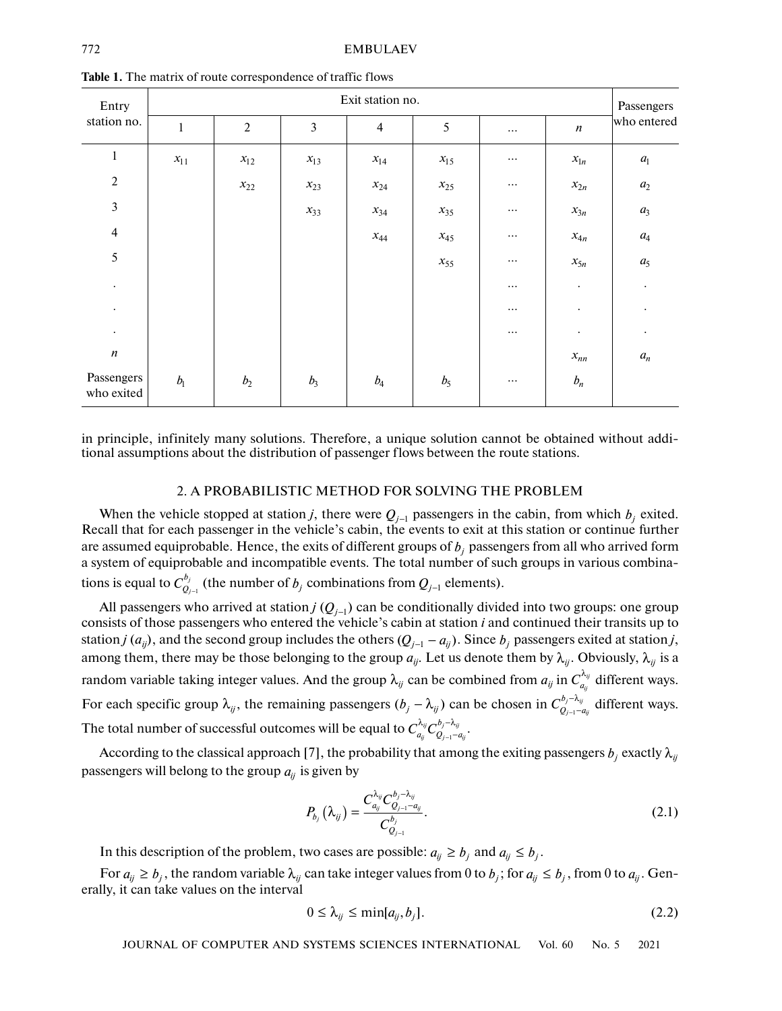| Entry<br>station no.     | Exit station no. |                |                |                |          |          |                  |                         |  |
|--------------------------|------------------|----------------|----------------|----------------|----------|----------|------------------|-------------------------|--|
|                          | $\,1$            | $\sqrt{2}$     | $\mathfrak{Z}$ | $\overline{4}$ | 5        | $\cdots$ | $\boldsymbol{n}$ | who entered             |  |
| $\mathbf{1}$             | $x_{11}$         | $x_{12}$       | $x_{13}$       | $x_{14}$       | $x_{15}$ | $\cdots$ | $x_{1n}$         | $\mathfrak{a}_\text{l}$ |  |
| $\sqrt{2}$               |                  | $x_{22}$       | $x_{23}$       | $x_{24}$       | $x_{25}$ | $\cdots$ | $x_{2n}$         | $\boldsymbol{a}_2$      |  |
| $\mathfrak{Z}$           |                  |                | $x_{33}$       | $x_{34}$       | $x_{35}$ | $\cdots$ | $x_{3n}$         | $a_3$                   |  |
| $\overline{4}$           |                  |                |                | $x_{44}$       | $x_{45}$ | $\cdots$ | $x_{4n}$         | $\mathfrak{a}_4$        |  |
| 5                        |                  |                |                |                | $x_{55}$ | $\cdots$ | $x_{5n}$         | $a_5$                   |  |
| $\bullet$                |                  |                |                |                |          | $\cdots$ | $\bullet$        | $\bullet$               |  |
| $\bullet$                |                  |                |                |                |          | $\cdots$ | $\bullet$        | $\bullet$               |  |
| $\bullet$                |                  |                |                |                |          | $\cdots$ | $\bullet$        | $\bullet$               |  |
| $\boldsymbol{n}$         |                  |                |                |                |          |          | $x_{nn}$         | $\boldsymbol{a}_n$      |  |
| Passengers<br>who exited | $b_{\rm l}$      | b <sub>2</sub> | $b_3$          | $b_4$          | $b_5$    | $\cdots$ | $b_n$            |                         |  |

**Table 1.** The matrix of route correspondence of traffic flows

in principle, infinitely many solutions. Therefore, a unique solution cannot be obtained without additional assumptions about the distribution of passenger flows between the route stations.

## 2. A PROBABILISTIC METHOD FOR SOLVING THE PROBLEM

When the vehicle stopped at station *j*, there were  $Q_{j-1}$  passengers in the cabin, from which  $b_j$  exited. Recall that for each passenger in the vehicle's cabin, the events to exit at this station or continue further are assumed equiprobable. Hence, the exits of different groups of  $b_j$  passengers from all who arrived form a system of equiprobable and incompatible events. The total number of such groups in various combinations is equal to  $C_{Q_{j-1}}^{\rho_j}$  (the number of  $b_j$  combinations from  $Q_{j-1}$  elements). *j*  $C_{Q_{j-1}}^{b_j}$  (the number of  $b_j$  combinations from  $Q_{j-1}$ 

All passengers who arrived at station *j*  $(Q_{j-1})$  can be conditionally divided into two groups: one group consists of those passengers who entered the vehicle's cabin at station *i* and continued their transits up to station *j* ( $a_{ij}$ ), and the second group includes the others ( $Q_{j-1} - a_{ij}$ ). Since  $b_j$  passengers exited at station *j*, among them, there may be those belonging to the group  $a_{ij}$ . Let us denote them by  $\lambda_{ij}$ . Obviously,  $\lambda_{ij}$  is a random variable taking integer values. And the group  $\lambda_{ij}$  can be combined from  $a_{ij}$  in  $C^{\lambda_{ij}}_{a_{ij}}$  different ways. For each specific group  $\lambda_{ij}$ , the remaining passengers  $(b_j - \lambda_{ij})$  can be chosen in  $C_{Q_{j-1}-q_{ij}}^{b_j-\lambda_{ij}}$  different ways. The total number of successful outcomes will be equal to  $C_{a_{ij}}^{\lambda_{ij}} C_{Q_{j-1}-a_{ij}}^{\rho_j-\lambda_{ij}}.$ <sub>j</sub>−^<sub>ij</sub><br><sub>j−1</sub>−'  $C^{b_j-\lambda_{ij}}_{\mathcal{Q}_{j-1}-a_{ij}}$  $\lambda_{ii}$   $\bigcap b_i - \lambda$  ${}^{_{ij}C_{Q_{j-1}\neg\alpha_{ij}}^{\nu_j\neg\alpha_{ij}}}$  $C^{\lambda_{ij}}_{a_{ij}} C^{b_j-\lambda_{ij}}_{Q_{j-1}-a_{ij}}$ 

According to the classical approach [7], the probability that among the exiting passengers  $b_j$  exactly  $\lambda_{ij}$ passengers will belong to the group  $a_{ij}$  is given by

$$
P_{b_j}\left(\lambda_{ij}\right) = \frac{C_{a_{ij}}^{\lambda_{ij}} C_{Q_{j-1}-a_{ij}}^{b_j-\lambda_{ij}}}{C_{Q_{j-1}}^{b_j}}.
$$
\n(2.1)

In this description of the problem, two cases are possible:  $a_{ij} \ge b_j$  and  $a_{ij} \le b_j$ .

For  $a_{ij} \ge b_j$ , the random variable  $\lambda_{ij}$  can take integer values from 0 to  $b_j$ ; for  $a_{ij} \le b_j$ , from 0 to  $a_{ij}$ . Generally, it can take values on the interval

$$
0 \le \lambda_{ij} \le \min[a_{ij}, b_j]. \tag{2.2}
$$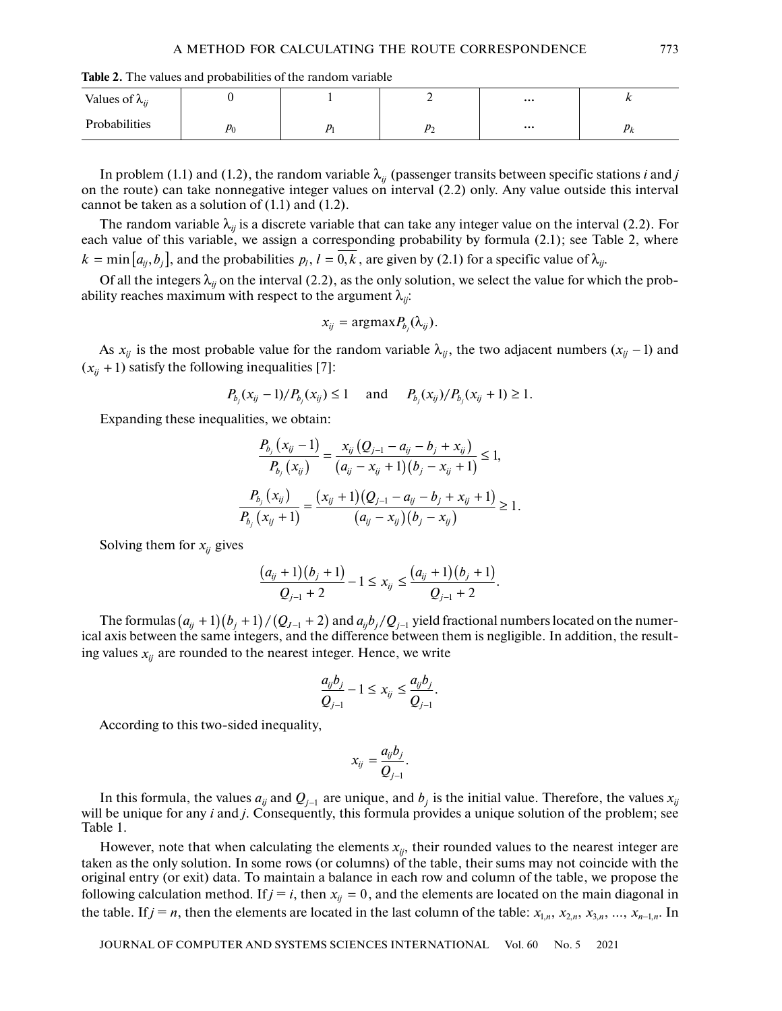**Table 2.** The values and probabilities of the random variable

| Values of $\lambda_{ii}$ |                    |                | $\cdots$ | $\cdots$      |
|--------------------------|--------------------|----------------|----------|---------------|
| Probabilities            | ю<br>$\mu_{\rm c}$ | יי<br><u>-</u> | $\cdots$ | ◡<br>$\cdots$ |

In problem (1.1) and (1.2), the random variable  $\lambda_{ij}$  (passenger transits between specific stations *i* and *j* on the route) can take nonnegative integer values on interval (2.2) only. Any value outside this interval cannot be taken as a solution of  $(1.1)$  and  $(1.2)$ .

The random variable  $\lambda_{ij}$  is a discrete variable that can take any integer value on the interval (2.2). For each value of this variable, we assign a corresponding probability by formula (2.1); see Table 2, where  $k = \min\big[a_{ij}, b_j\big]$ , and the probabilities  $p_l$ ,  $l = 0, k$  , are given by (2.1) for a specific value of  $\lambda_{ij}$ .

Of all the integers  $\lambda_{ij}$  on the interval (2.2), as the only solution, we select the value for which the probability reaches maximum with respect to the argument  $\lambda_{ij}$ :

$$
x_{ij} = \text{argmax} P_{b_j}(\lambda_{ij}).
$$

As  $x_{ij}$  is the most probable value for the random variable  $\lambda_{ij}$ , the two adjacent numbers  $(x_{ij} - 1)$  and  $(x_{ij} + 1)$  satisfy the following inequalities [7]:

$$
P_{b_j}(x_{ij}-1)/P_{b_j}(x_{ij}) \le 1
$$
 and  $P_{b_j}(x_{ij})/P_{b_j}(x_{ij}+1) \ge 1$ .

Expanding these inequalities, we obtain:

$$
\frac{P_{b_j}(x_{ij}-1)}{P_{b_j}(x_{ij})} = \frac{x_{ij}(Q_{j-1} - a_{ij} - b_j + x_{ij})}{(a_{ij} - x_{ij} + 1)(b_j - x_{ij} + 1)} \le 1,
$$
\n
$$
\frac{P_{b_j}(x_{ij})}{P_{b_j}(x_{ij} + 1)} = \frac{(x_{ij} + 1)(Q_{j-1} - a_{ij} - b_j + x_{ij} + 1)}{(a_{ij} - x_{ij})(b_j - x_{ij})} \ge 1.
$$

Solving them for  $x_{ij}$  gives

$$
\frac{(a_{ij}+1)(b_j+1)}{Q_{j-1}+2}-1\leq x_{ij}\leq \frac{(a_{ij}+1)(b_j+1)}{Q_{j-1}+2}.
$$

The formulas  $(a_{ij}+1)(b_j+1)/(Q_{J-1}+2)$  and  $a_{ij}b_j/Q_{j-1}$  yield fractional numbers located on the numerical axis between the same integers, and the difference between them is negligible. In addition, the resulting values  $x_{ij}$  are rounded to the nearest integer. Hence, we write

$$
\frac{a_{ij}b_j}{Q_{j-1}}-1\leq x_{ij}\leq \frac{a_{ij}b_j}{Q_{j-1}}.
$$

According to this two-sided inequality,

$$
x_{ij}=\frac{a_{ij}b_j}{Q_{j-1}}.
$$

In this formula, the values  $a_{ij}$  and  $Q_{j-1}$  are unique, and  $b_j$  is the initial value. Therefore, the values  $x_{ij}$ will be unique for any *i* and *j*. Consequently, this formula provides a unique solution of the problem; see Table 1.

However, note that when calculating the elements  $x_{ij}$ , their rounded values to the nearest integer are taken as the only solution. In some rows (or columns) of the table, their sums may not coincide with the original entry (or exit) data. To maintain a balance in each row and column of the table, we propose the following calculation method. If  $j = i$ , then  $x_{ij} = 0$ , and the elements are located on the main diagonal in the table. If  $j = n$ , then the elements are located in the last column of the table:  $x_{1,n}, x_{2,n}, x_{3,n}, ..., x_{n-1,n}$ . In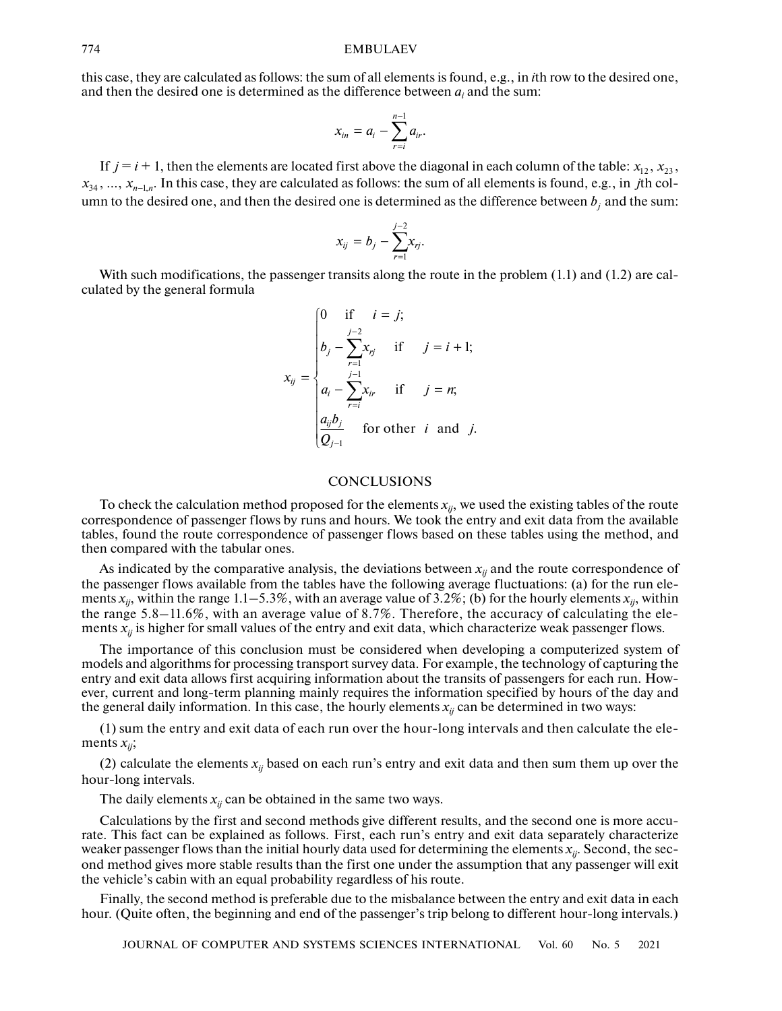this case, they are calculated as follows: the sum of all elements is found, e.g., in *i*th row to the desired one, and then the desired one is determined as the difference between  $a_i$  and the sum:

$$
x_{in}=a_i-\sum_{r=i}^{n-1}a_{ir}.
$$

If  $j = i + 1$ , then the elements are located first above the diagonal in each column of the table:  $x_{12}, x_{23}$ ,  $x_{34}, ..., x_{n-1,n}$ . In this case, they are calculated as follows: the sum of all elements is found, e.g., in *j*th column to the desired one, and then the desired one is determined as the difference between  $b_j$  and the sum:

$$
x_{ij} = b_j - \sum_{r=1}^{j-2} x_{rj}.
$$

With such modifications, the passenger transits along the route in the problem (1.1) and (1.2) are calculated by the general formula

$$
x_{ij} = \begin{cases} 0 & \text{if } i = j; \\ b_j - \sum_{r=1}^{j-2} x_{rj} & \text{if } j = i+1; \\ a_i - \sum_{r=i}^{j-1} x_{ir} & \text{if } j = n; \\ \frac{a_{ij}b_j}{Q_{j-1}} & \text{for other } i \text{ and } j. \end{cases}
$$

#### **CONCLUSIONS**

To check the calculation method proposed for the elements  $x_{ij}$ , we used the existing tables of the route correspondence of passenger flows by runs and hours. We took the entry and exit data from the available tables, found the route correspondence of passenger flows based on these tables using the method, and then compared with the tabular ones.

As indicated by the comparative analysis, the deviations between  $x_{ij}$  and the route correspondence of the passenger flows available from the tables have the following average fluctuations: (a) for the run elements  $x_{ij}$ , within the range 1.1–5.3%, with an average value of 3.2%; (b) for the hourly elements  $x_{ij}$ , within the range 5.8–11.6%, with an average value of 8.7%. Therefore, the accuracy of calculating the elements  $x_{ij}$  is higher for small values of the entry and exit data, which characterize weak passenger flows.

The importance of this conclusion must be considered when developing a computerized system of models and algorithms for processing transport survey data. For example, the technology of capturing the entry and exit data allows first acquiring information about the transits of passengers for each run. However, current and long-term planning mainly requires the information specified by hours of the day and the general daily information. In this case, the hourly elements  $x_{ij}$  can be determined in two ways:

(1) sum the entry and exit data of each run over the hour-long intervals and then calculate the elements  $x_{ii}$ ;

(2) calculate the elements  $x_{ij}$  based on each run's entry and exit data and then sum them up over the hour-long intervals.

The daily elements  $x_{ij}$  can be obtained in the same two ways.

Calculations by the first and second methods give different results, and the second one is more accurate. This fact can be explained as follows. First, each run's entry and exit data separately characterize weaker passenger flows than the initial hourly data used for determining the elements *xij*. Second, the second method gives more stable results than the first one under the assumption that any passenger will exit the vehicle's cabin with an equal probability regardless of his route.

Finally, the second method is preferable due to the misbalance between the entry and exit data in each hour. (Quite often, the beginning and end of the passenger's trip belong to different hour-long intervals.)